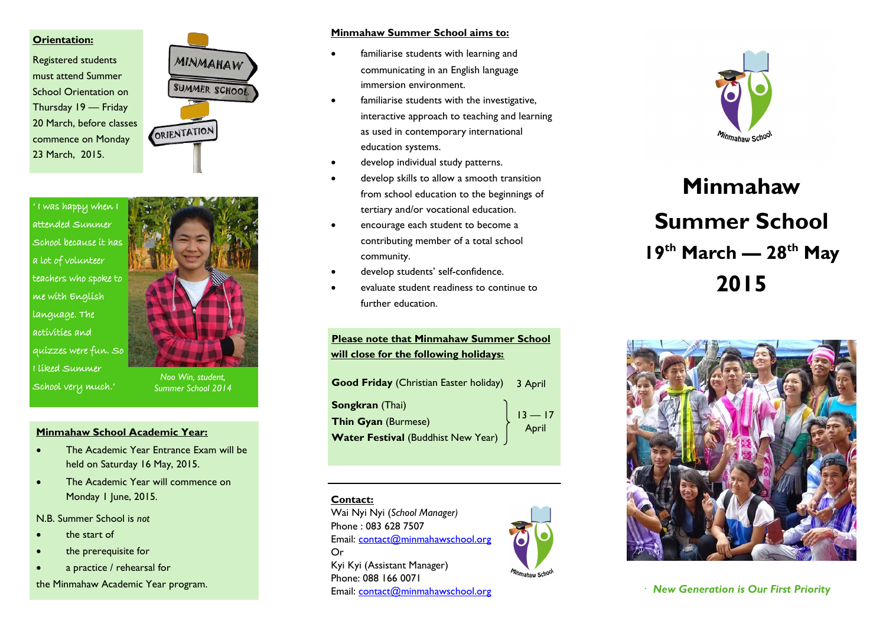#### **Orientation:**

Registered students must attend Summer School Orientation on Thursday 19 — Friday 20 March, before classes commence on Monday 23 March, 2015.



' I was happy when I attended Summer School because it has a lot of volunteer teachers who spoke to me with English language. The activities and quizzes were fun. So I liked Summer School very much.'



*Noo Win, student, Summer School 2014*

#### **Minmahaw School Academic Year:**

- The Academic Year Entrance Exam will be held on Saturday 16 May, 2015.
- The Academic Year will commence on Monday 1 June, 2015.

N.B. Summer School is *not*

- the start of
- the prerequisite for
- a practice / rehearsal for

the Minmahaw Academic Year program.

#### **Minmahaw Summer School aims to:**

- familiarise students with learning and communicating in an English language immersion environment.
- familiarise students with the investigative, interactive approach to teaching and learning as used in contemporary international education systems.
- develop individual study patterns.
- develop skills to allow a smooth transition from school education to the beginnings of tertiary and/or vocational education.
- encourage each student to become a contributing member of a total school community.
- develop students' self -confidence.
- evaluate student readiness to continue to further education.

**Please note that Minmahaw Summer School will close for the following holidays:**

| Good Friday (Christian Easter holiday) 3 April |  |
|------------------------------------------------|--|
| $13 - 17$<br>April                             |  |
|                                                |  |

**Contact:**

Or

Wai Nyi Nyi (*School Manager)*

Kyi Kyi (Assistant Manager) Phone: 088 166 0071

Email: [contact@minmahawschool.org](mailto:mefoffice@gmail.com)

Email: [contact@minmahawschool.org](mailto:mefoffice@gmail.com)

Phone : 083 628 7507





# **Minmahaw Summer School 19th March — 28th May 2015**



*New Generation is Our First Priority*